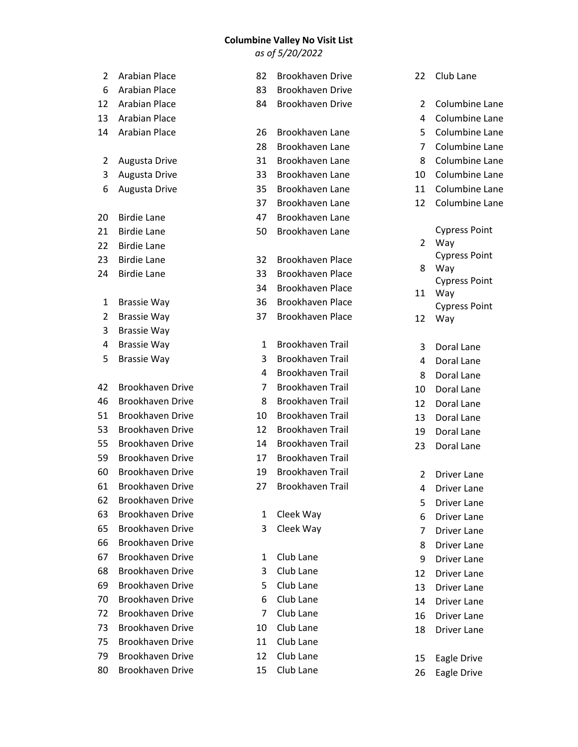## **Columbine Valley No Visit List**

*as of 5/20/2022*

| 2              | <b>Arabian Place</b>    | 82 | Brookhaven Drive        | 22             | Club Lane                   |
|----------------|-------------------------|----|-------------------------|----------------|-----------------------------|
| 6              | <b>Arabian Place</b>    | 83 | <b>Brookhaven Drive</b> |                |                             |
| 12             | <b>Arabian Place</b>    | 84 | Brookhaven Drive        | 2              | Columbine Lane              |
| 13             | <b>Arabian Place</b>    |    |                         | 4              | Columbine Lane              |
| 14             | <b>Arabian Place</b>    | 26 | Brookhaven Lane         | 5              | Columbine Lane              |
|                |                         | 28 | Brookhaven Lane         | 7              | Columbine Lane              |
| 2              | Augusta Drive           | 31 | Brookhaven Lane         | 8              | Columbine Lane              |
| 3              | Augusta Drive           | 33 | Brookhaven Lane         | 10             | Columbine Lane              |
| 6              | Augusta Drive           | 35 | Brookhaven Lane         | 11             | Columbine Lane              |
|                |                         | 37 | Brookhaven Lane         | 12             | Columbine Lane              |
| 20             | <b>Birdie Lane</b>      | 47 | Brookhaven Lane         |                |                             |
| 21             | <b>Birdie Lane</b>      | 50 | Brookhaven Lane         |                | <b>Cypress Point</b>        |
| 22             | <b>Birdie Lane</b>      |    |                         | 2              | Way                         |
| 23             | <b>Birdie Lane</b>      | 32 | <b>Brookhaven Place</b> |                | <b>Cypress Point</b>        |
| 24             | <b>Birdie Lane</b>      | 33 | <b>Brookhaven Place</b> | 8              | Way<br><b>Cypress Point</b> |
|                |                         | 34 | <b>Brookhaven Place</b> | 11             | Way                         |
| 1              | <b>Brassie Way</b>      | 36 | <b>Brookhaven Place</b> |                | <b>Cypress Point</b>        |
| $\overline{2}$ | <b>Brassie Way</b>      | 37 | <b>Brookhaven Place</b> | 12             | Way                         |
| 3              | <b>Brassie Way</b>      |    |                         |                |                             |
| 4              | <b>Brassie Way</b>      | 1  | <b>Brookhaven Trail</b> | 3              | Doral Lane                  |
| 5              | <b>Brassie Way</b>      | 3  | <b>Brookhaven Trail</b> | 4              | Doral Lane                  |
|                |                         | 4  | <b>Brookhaven Trail</b> | 8              | Doral Lane                  |
| 42             | <b>Brookhaven Drive</b> | 7  | <b>Brookhaven Trail</b> | 10             | Doral Lane                  |
| 46             | <b>Brookhaven Drive</b> | 8  | <b>Brookhaven Trail</b> | 12             | Doral Lane                  |
| 51             | <b>Brookhaven Drive</b> | 10 | <b>Brookhaven Trail</b> | 13             | Doral Lane                  |
| 53             | <b>Brookhaven Drive</b> | 12 | <b>Brookhaven Trail</b> | 19             | Doral Lane                  |
| 55             | <b>Brookhaven Drive</b> | 14 | <b>Brookhaven Trail</b> | 23             | Doral Lane                  |
| 59             | <b>Brookhaven Drive</b> | 17 | <b>Brookhaven Trail</b> |                |                             |
| 60             | <b>Brookhaven Drive</b> | 19 | <b>Brookhaven Trail</b> | 2              | <b>Driver Lane</b>          |
| 61             | Brookhaven Drive        | 27 | Brookhaven Trail        | 4              | Driver Lane                 |
| 62             | <b>Brookhaven Drive</b> |    |                         | 5              | Driver Lane                 |
| 63             | <b>Brookhaven Drive</b> | 1  | Cleek Way               | 6              | <b>Driver Lane</b>          |
| 65             | <b>Brookhaven Drive</b> | 3  | Cleek Way               | $\overline{7}$ | Driver Lane                 |
| 66             | <b>Brookhaven Drive</b> |    |                         | 8              | <b>Driver Lane</b>          |
| 67             | <b>Brookhaven Drive</b> | 1  | Club Lane               | 9              | Driver Lane                 |
| 68             | <b>Brookhaven Drive</b> | 3  | Club Lane               | 12             | Driver Lane                 |
| 69             | <b>Brookhaven Drive</b> | 5  | Club Lane               | 13             | Driver Lane                 |
| 70             | <b>Brookhaven Drive</b> | 6  | Club Lane               | 14             | Driver Lane                 |
| 72             | <b>Brookhaven Drive</b> | 7  | Club Lane               | 16             | Driver Lane                 |
| 73             | <b>Brookhaven Drive</b> | 10 | Club Lane               | 18             | Driver Lane                 |
| 75             | <b>Brookhaven Drive</b> | 11 | Club Lane               |                |                             |
| 79             | <b>Brookhaven Drive</b> | 12 | Club Lane               | 15             | Eagle Drive                 |
| 80             | Brookhaven Drive        | 15 | Club Lane               | 26             | Eagle Drive                 |
|                |                         |    |                         |                |                             |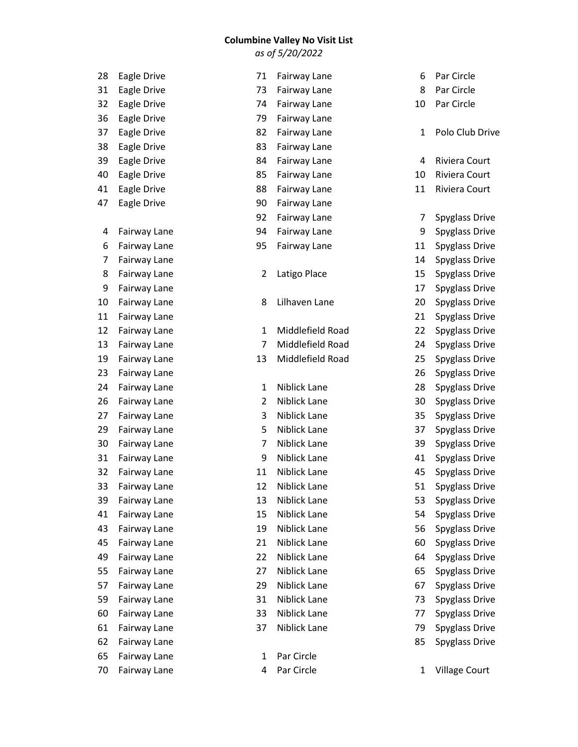## **Columbine Valley No Visit List**

*as of 5/20/2022*

| 28 | Eagle Drive  | 71             | Fairway Lane     | 6  | Par Circle           |
|----|--------------|----------------|------------------|----|----------------------|
| 31 | Eagle Drive  | 73             | Fairway Lane     | 8  | Par Circle           |
| 32 | Eagle Drive  | 74             | Fairway Lane     | 10 | Par Circle           |
| 36 | Eagle Drive  | 79             | Fairway Lane     |    |                      |
| 37 | Eagle Drive  | 82             | Fairway Lane     | 1  | Polo Club Drive      |
| 38 | Eagle Drive  | 83             | Fairway Lane     |    |                      |
| 39 | Eagle Drive  | 84             | Fairway Lane     | 4  | Riviera Court        |
| 40 | Eagle Drive  | 85             | Fairway Lane     | 10 | Riviera Court        |
| 41 | Eagle Drive  | 88             | Fairway Lane     | 11 | Riviera Court        |
| 47 | Eagle Drive  | 90             | Fairway Lane     |    |                      |
|    |              | 92             | Fairway Lane     | 7  | Spyglass Drive       |
| 4  | Fairway Lane | 94             | Fairway Lane     | 9  | Spyglass Drive       |
| 6  | Fairway Lane | 95             | Fairway Lane     | 11 | Spyglass Drive       |
| 7  | Fairway Lane |                |                  | 14 | Spyglass Drive       |
| 8  | Fairway Lane | $\overline{2}$ | Latigo Place     | 15 | Spyglass Drive       |
| 9  | Fairway Lane |                |                  | 17 | Spyglass Drive       |
| 10 | Fairway Lane | 8              | Lilhaven Lane    | 20 | Spyglass Drive       |
| 11 | Fairway Lane |                |                  | 21 | Spyglass Drive       |
| 12 | Fairway Lane | $\mathbf{1}$   | Middlefield Road | 22 | Spyglass Drive       |
| 13 | Fairway Lane | $\overline{7}$ | Middlefield Road | 24 | Spyglass Drive       |
| 19 | Fairway Lane | 13             | Middlefield Road | 25 | Spyglass Drive       |
| 23 | Fairway Lane |                |                  | 26 | Spyglass Drive       |
| 24 | Fairway Lane | $\mathbf{1}$   | Niblick Lane     | 28 | Spyglass Drive       |
| 26 | Fairway Lane | $\overline{2}$ | Niblick Lane     | 30 | Spyglass Drive       |
| 27 | Fairway Lane | 3              | Niblick Lane     | 35 | Spyglass Drive       |
| 29 | Fairway Lane | 5              | Niblick Lane     | 37 | Spyglass Drive       |
| 30 | Fairway Lane | $\overline{7}$ | Niblick Lane     | 39 | Spyglass Drive       |
| 31 | Fairway Lane | 9              | Niblick Lane     | 41 | Spyglass Drive       |
| 32 | Fairway Lane | 11             | Niblick Lane     | 45 | Spyglass Drive       |
| 33 | Fairway Lane | 12             | Niblick Lane     | 51 | Spyglass Drive       |
| 39 | Fairway Lane | 13             | Niblick Lane     | 53 | Spyglass Drive       |
| 41 | Fairway Lane | 15             | Niblick Lane     | 54 | Spyglass Drive       |
| 43 | Fairway Lane | 19             | Niblick Lane     | 56 | Spyglass Drive       |
| 45 | Fairway Lane | 21             | Niblick Lane     | 60 | Spyglass Drive       |
| 49 | Fairway Lane | 22             | Niblick Lane     | 64 | Spyglass Drive       |
| 55 | Fairway Lane | 27             | Niblick Lane     | 65 | Spyglass Drive       |
| 57 | Fairway Lane | 29             | Niblick Lane     | 67 | Spyglass Drive       |
| 59 | Fairway Lane | 31             | Niblick Lane     | 73 | Spyglass Drive       |
| 60 | Fairway Lane | 33             | Niblick Lane     | 77 | Spyglass Drive       |
| 61 | Fairway Lane | 37             | Niblick Lane     | 79 | Spyglass Drive       |
| 62 | Fairway Lane |                |                  | 85 | Spyglass Drive       |
| 65 | Fairway Lane | 1              | Par Circle       |    |                      |
| 70 | Fairway Lane | 4              | Par Circle       | 1  | <b>Village Court</b> |
|    |              |                |                  |    |                      |